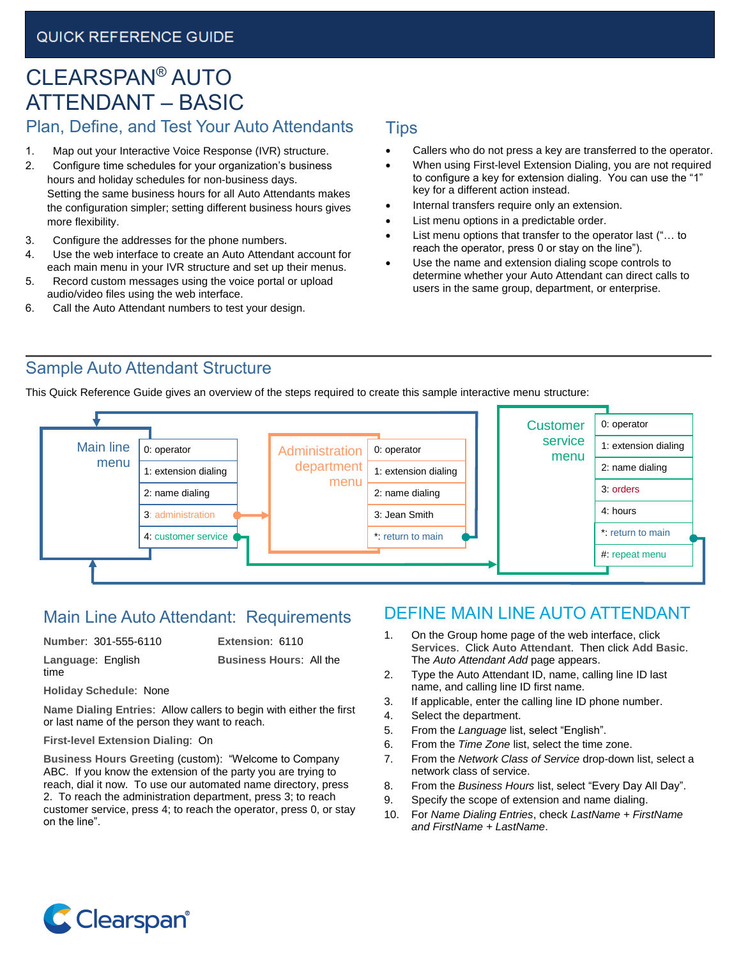# CLEARSPAN® AUTO ATTENDANT – BASIC Plan, Define, and Test Your Auto Attendants

# 1. Map out your Interactive Voice Response (IVR) structure.

- 2. Configure time schedules for your organization's business hours and holiday schedules for non-business days. Setting the same business hours for all Auto Attendants makes the configuration simpler; setting different business hours gives more flexibility.
- 3. Configure the addresses for the phone numbers.
- 4. Use the web interface to create an Auto Attendant account for each main menu in your IVR structure and set up their menus.
- 5. Record custom messages using the voice portal or upload audio/video files using the web interface.
- 6. Call the Auto Attendant numbers to test your design.

#### Tips

- Callers who do not press a key are transferred to the operator.
- When using First-level Extension Dialing, you are not required to configure a key for extension dialing. You can use the "1" key for a different action instead.
- Internal transfers require only an extension.
- List menu options in a predictable order.
- List menu options that transfer to the operator last ("... to reach the operator, press 0 or stay on the line").
- Use the name and extension dialing scope controls to determine whether your Auto Attendant can direct calls to users in the same group, department, or enterprise.

#### Sample Auto Attendant Structure

This Quick Reference Guide gives an overview of the steps required to create this sample interactive menu structure:



### Main Line Auto Attendant: Requirements

#### **Number**: 301-555-6110 **Extension**: 6110

**Language**: English **Business Hours**: All the time

**Holiday Schedule**: None **Name Dialing Entries**: Allow callers to begin with either the first or last name of the person they want to reach.

#### **First-level Extension Dialing**: On

**Business Hours Greeting** (custom): "Welcome to Company ABC. If you know the extension of the party you are trying to reach, dial it now. To use our automated name directory, press 2. To reach the administration department, press 3; to reach customer service, press 4; to reach the operator, press 0, or stay on the line".

# DEFINE MAIN LINE AUTO ATTENDANT

- 1. On the Group home page of the web interface, click **Services**. Click **Auto Attendant**. Then click **Add Basic**. The *Auto Attendant Add* page appears.
- 2. Type the Auto Attendant ID, name, calling line ID last name, and calling line ID first name.
- 3. If applicable, enter the calling line ID phone number.
- 4. Select the department.
- 5. From the *Language* list, select "English".
- 6. From the *Time Zone* list, select the time zone.
- 7. From the *Network Class of Service* drop-down list, select a network class of service.
- 8. From the *Business Hours* list, select "Every Day All Day".
- 9. Specify the scope of extension and name dialing.
- 10. For *Name Dialing Entries*, check *LastName + FirstName and FirstName + LastName*.

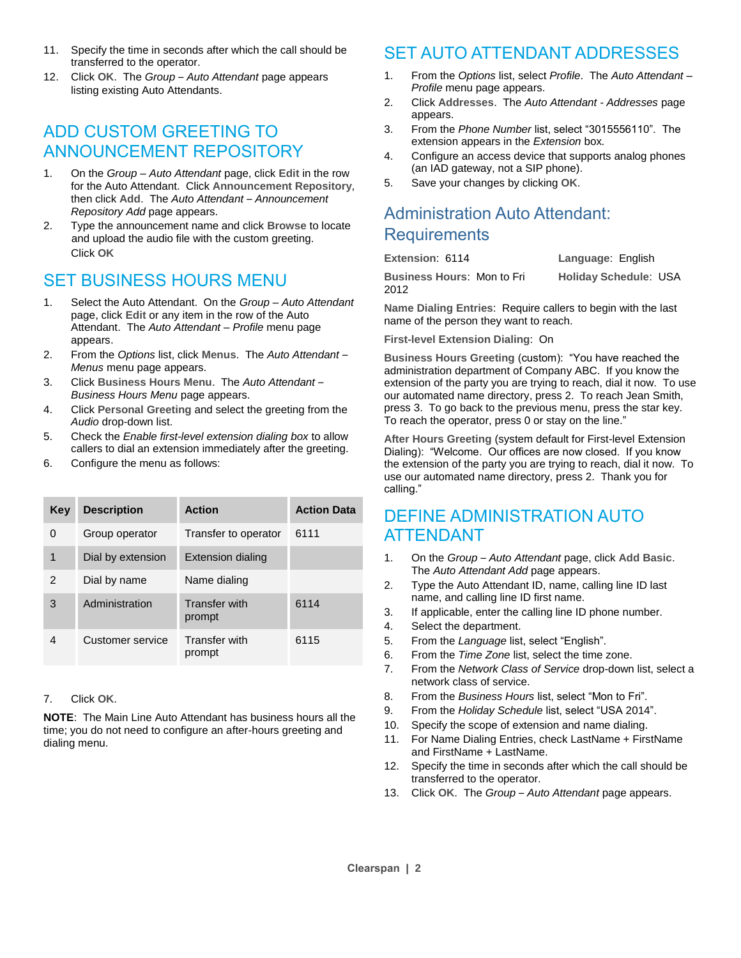- 11. Specify the time in seconds after which the call should be transferred to the operator.
- 12. Click **OK**. The *Group Auto Attendant* page appears listing existing Auto Attendants.

### ADD CUSTOM GREETING TO ANNOUNCEMENT REPOSITORY

- 1. On the *Group – Auto Attendant* page, click **Edit** in the row for the Auto Attendant. Click **Announcement Repository**, then click **Add**. The *Auto Attendant – Announcement Repository Add* page appears.
- 2. Type the announcement name and click **Browse** to locate and upload the audio file with the custom greeting. Click **OK**

# SET BUSINESS HOURS MENU

- 1. Select the Auto Attendant. On the *Group – Auto Attendant* page, click **Edit** or any item in the row of the Auto Attendant. The *Auto Attendant – Profile* menu page appears.
- 2. From the *Options* list, click **Menus**. The *Auto Attendant – Menus* menu page appears.
- 3. Click **Business Hours Menu**. The *Auto Attendant Business Hours Menu* page appears.
- 4. Click **Personal Greeting** and select the greeting from the *Audio* drop-down list.
- 5. Check the *Enable first-level extension dialing box* to allow callers to dial an extension immediately after the greeting.
- 6. Configure the menu as follows:

| <b>Key</b> | <b>Description</b> | <b>Action</b>                  | <b>Action Data</b> |
|------------|--------------------|--------------------------------|--------------------|
| 0          | Group operator     | Transfer to operator           | 6111               |
| 1          | Dial by extension  | <b>Extension dialing</b>       |                    |
| 2          | Dial by name       | Name dialing                   |                    |
| 3          | Administration     | <b>Transfer with</b><br>prompt | 6114               |
| 4          | Customer service   | <b>Transfer with</b><br>prompt | 6115               |

#### 7. Click **OK**.

**NOTE**: The Main Line Auto Attendant has business hours all the time; you do not need to configure an after-hours greeting and dialing menu.

# SET AUTO ATTENDANT ADDRESSES

- 1. From the *Options* list, select *Profile*. The *Auto Attendant – Profile* menu page appears.
- 2. Click **Addresses**. The *Auto Attendant - Addresses* page appears.
- 3. From the *Phone Number* list, select "3015556110". The extension appears in the *Extension* box.
- 4. Configure an access device that supports analog phones (an IAD gateway, not a SIP phone).
- 5. Save your changes by clicking **OK**.

# Administration Auto Attendant: **Requirements**

| Extension: 6114 |  |
|-----------------|--|
|                 |  |

2012

**Language: English** 

**Business Hours**: Mon to Fri **Holiday Schedule**: USA

**Name Dialing Entries**: Require callers to begin with the last name of the person they want to reach.

**First-level Extension Dialing**: On

**Business Hours Greeting** (custom): "You have reached the administration department of Company ABC. If you know the extension of the party you are trying to reach, dial it now. To use our automated name directory, press 2. To reach Jean Smith, press 3. To go back to the previous menu, press the star key. To reach the operator, press 0 or stay on the line."

**After Hours Greeting** (system default for First-level Extension Dialing): "Welcome. Our offices are now closed. If you know the extension of the party you are trying to reach, dial it now. To use our automated name directory, press 2. Thank you for calling."

### DEFINE ADMINISTRATION AUTO ATTENDANT

- 1. On the *Group – Auto Attendant* page, click **Add Basic**. The *Auto Attendant Add* page appears.
- 2. Type the Auto Attendant ID, name, calling line ID last name, and calling line ID first name.
- 3. If applicable, enter the calling line ID phone number.
- 4. Select the department.
- 5. From the *Language* list, select "English".
- 6. From the *Time Zone* list, select the time zone.
- 7. From the *Network Class of Service* drop-down list, select a network class of service.
- 8. From the *Business Hours* list, select "Mon to Fri".
- 9. From the *Holiday Schedule* list, select "USA 2014".
- 10. Specify the scope of extension and name dialing.
- 11. For Name Dialing Entries, check LastName + FirstName and FirstName + LastName.
- 12. Specify the time in seconds after which the call should be transferred to the operator.
- 13. Click **OK**. The *Group Auto Attendant* page appears.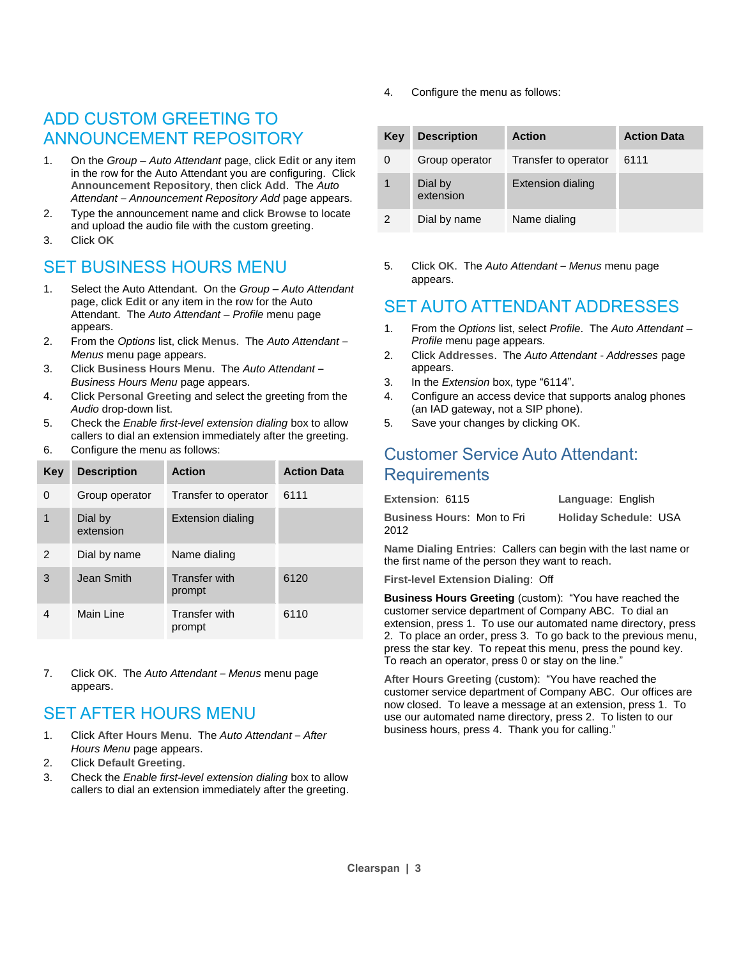### ADD CUSTOM GREETING TO ANNOUNCEMENT REPOSITORY

- 1. On the *Group – Auto Attendant* page, click **Edit** or any item in the row for the Auto Attendant you are configuring. Click **Announcement Repository**, then click **Add**. The *Auto Attendant – Announcement Repository Add* page appears.
- 2. Type the announcement name and click **Browse** to locate and upload the audio file with the custom greeting.
- 3. Click **OK**

# SET BUSINESS HOURS MENU

- 1. Select the Auto Attendant. On the *Group – Auto Attendant* page, click **Edit** or any item in the row for the Auto Attendant. The *Auto Attendant – Profile* menu page appears.
- 2. From the *Options* list, click **Menus**. The *Auto Attendant – Menus* menu page appears.
- 3. Click **Business Hours Menu**. The *Auto Attendant Business Hours Menu* page appears.
- 4. Click **Personal Greeting** and select the greeting from the *Audio* drop-down list.
- 5. Check the *Enable first-level extension dialing* box to allow callers to dial an extension immediately after the greeting.
- 6. Configure the menu as follows:

| <b>Key</b>    | <b>Description</b>   | <b>Action</b>                  | <b>Action Data</b> |
|---------------|----------------------|--------------------------------|--------------------|
| 0             | Group operator       | Transfer to operator           | 6111               |
| 1             | Dial by<br>extension | <b>Extension dialing</b>       |                    |
| $\mathcal{P}$ | Dial by name         | Name dialing                   |                    |
| 3             | Jean Smith           | <b>Transfer with</b><br>prompt | 6120               |
| 4             | Main Line            | <b>Transfer with</b><br>prompt | 6110               |

7. Click **OK**. The *Auto Attendant – Menus* menu page appears.

# **SET AFTER HOURS MENU**

- 1. Click **After Hours Menu**. The *Auto Attendant After Hours Menu* page appears.
- 2. Click **Default Greeting**.
- 3. Check the *Enable first-level extension dialing* box to allow callers to dial an extension immediately after the greeting.

4. Configure the menu as follows:

| Key | <b>Description</b>   | <b>Action</b>            | <b>Action Data</b> |
|-----|----------------------|--------------------------|--------------------|
| 0   | Group operator       | Transfer to operator     | 6111               |
| 1   | Dial by<br>extension | <b>Extension dialing</b> |                    |
|     | Dial by name         | Name dialing             |                    |

5. Click **OK**. The *Auto Attendant – Menus* menu page appears.

### SET AUTO ATTENDANT ADDRESSES

- 1. From the *Options* list, select *Profile*. The *Auto Attendant – Profile* menu page appears.
- 2. Click **Addresses**. The *Auto Attendant - Addresses* page appears.
- 3. In the *Extension* box, type "6114".
- 4. Configure an access device that supports analog phones (an IAD gateway, not a SIP phone).
- 5. Save your changes by clicking **OK**.

### Customer Service Auto Attendant: **Requirements**

| Extension: 6115                           | Language: English            |
|-------------------------------------------|------------------------------|
| <b>Business Hours: Mon to Fri</b><br>2012 | <b>Holiday Schedule: USA</b> |

**Name Dialing Entries**: Callers can begin with the last name or the first name of the person they want to reach.

**First-level Extension Dialing**: Off

**Business Hours Greeting** (custom): "You have reached the customer service department of Company ABC. To dial an extension, press 1. To use our automated name directory, press 2. To place an order, press 3. To go back to the previous menu, press the star key. To repeat this menu, press the pound key. To reach an operator, press 0 or stay on the line."

**After Hours Greeting** (custom): "You have reached the customer service department of Company ABC. Our offices are now closed. To leave a message at an extension, press 1. To use our automated name directory, press 2. To listen to our business hours, press 4. Thank you for calling."